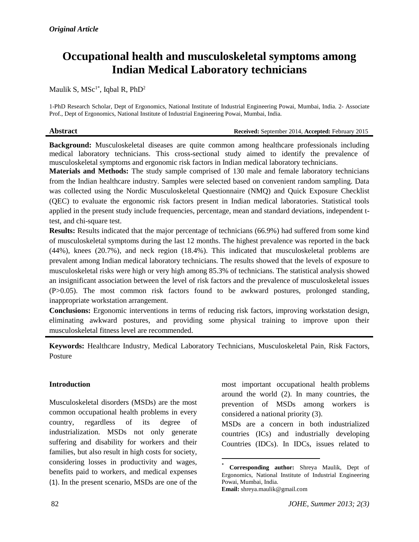# **Occupational health and musculoskeletal symptoms among Indian Medical Laboratory technicians**

# Maulik S,  ${\rm MSc}^{1*}$ , Iqbal R, PhD<sup>2</sup>

1-PhD Research Scholar, Dept of Ergonomics, National Institute of Industrial Engineering Powai, Mumbai, India. 2- Associate Prof., Dept of Ergonomics, National Institute of Industrial Engineering Powai, Mumbai, India.

| Abstract | <b>Received:</b> September 2014. Accepted: February 2015 |
|----------|----------------------------------------------------------|
|          |                                                          |

**Background:** Musculoskeletal diseases are quite common among healthcare professionals including medical laboratory technicians. This cross-sectional study aimed to identify the prevalence of musculoskeletal symptoms and ergonomic risk factors in Indian medical laboratory technicians.

**Materials and Methods:** The study sample comprised of 130 male and female laboratory technicians from the Indian healthcare industry. Samples were selected based on convenient random sampling. Data was collected using the Nordic Musculoskeletal Questionnaire (NMQ) and Quick Exposure Checklist (QEC) to evaluate the ergonomic risk factors present in Indian medical laboratories. Statistical tools applied in the present study include frequencies, percentage, mean and standard deviations, independent ttest, and chi-square test.

**Results:** Results indicated that the major percentage of technicians (66.9%) had suffered from some kind of musculoskeletal symptoms during the last 12 months. The highest prevalence was reported in the back (44%), knees (20.7%), and neck region (18.4%). This indicated that musculoskeletal problems are prevalent among Indian medical laboratory technicians. The results showed that the levels of exposure to musculoskeletal risks were high or very high among 85.3% of technicians. The statistical analysis showed an insignificant association between the level of risk factors and the prevalence of musculoskeletal issues (P>0.05). The most common risk factors found to be awkward postures, prolonged standing, inappropriate workstation arrangement.

**Conclusions:** Ergonomic interventions in terms of reducing risk factors, improving workstation design, eliminating awkward postures, and providing some physical training to improve upon their musculoskeletal fitness level are recommended.

**Keywords:** Healthcare Industry, Medical Laboratory Technicians, Musculoskeletal Pain, Risk Factors, Posture

1

# **Introduction**

Musculoskeletal disorders (MSDs) are the most common occupational health problems in every country, regardless of its degree of industrialization. MSDs not only generate suffering and disability for workers and their families, but also result in high costs for society, considering losses in productivity and wages, benefits paid to workers, and medical expenses (1). In the present scenario, MSDs are one of the most important occupational health problems around the world (2). In many countries, the prevention of MSDs among workers is considered a national priority (3).

MSDs are a concern in both industrialized countries (ICs) and industrially developing Countries (IDCs). In IDCs, issues related to

<sup>\*</sup> **Corresponding author:** Shreya Maulik, Dept of Ergonomics, National Institute of Industrial Engineering Powai, Mumbai, India. **Email:** [shreya.maulik@gmail.com](mailto:shreya.maulik@gmail.com)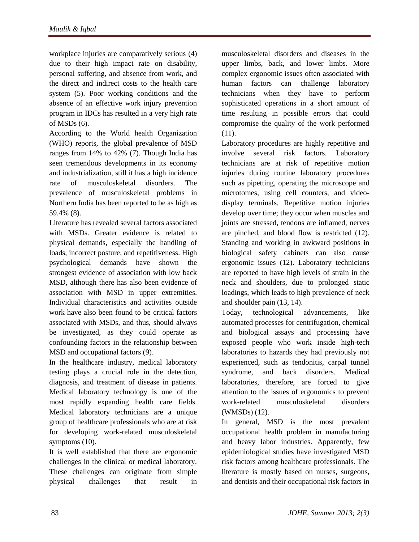workplace injuries are comparatively serious (4) due to their high impact rate on disability, personal suffering, and absence from work, and the direct and indirect costs to the health care system (5). Poor working conditions and the absence of an effective work injury prevention program in IDCs has resulted in a very high rate of MSDs (6).

According to the World health Organization (WHO) reports, the global prevalence of MSD ranges from 14% to 42% (7). Though India has seen tremendous developments in its economy and industrialization, still it has a high incidence rate of musculoskeletal disorders. The prevalence of musculoskeletal problems in Northern India has been reported to be as high as 59.4% (8).

Literature has revealed several factors associated with MSDs. Greater evidence is related to physical demands, especially the handling of loads, incorrect posture, and repetitiveness. High psychological demands have shown the strongest evidence of association with low back MSD, although there has also been evidence of association with MSD in upper extremities. Individual characteristics and activities outside work have also been found to be critical factors associated with MSDs, and thus, should always be investigated, as they could operate as confounding factors in the relationship between MSD and occupational factors (9).

In the healthcare industry, medical laboratory testing plays a crucial role in the detection, diagnosis, and treatment of disease in patients. Medical laboratory technology is one of the most rapidly expanding health care fields. Medical laboratory technicians are a unique group of healthcare professionals who are at risk for developing work-related musculoskeletal symptoms (10).

It is well established that there are ergonomic challenges in the clinical or medical laboratory. These challenges can originate from simple physical challenges that result in

musculoskeletal disorders and diseases in the upper limbs, back, and lower limbs. More complex ergonomic issues often associated with human factors can challenge laboratory technicians when they have to perform sophisticated operations in a short amount of time resulting in possible errors that could compromise the quality of the work performed (11).

Laboratory procedures are highly repetitive and involve several risk factors. Laboratory technicians are at risk of repetitive motion injuries during routine laboratory procedures such as pipetting, operating the microscope and microtomes, using cell counters, and videodisplay terminals. Repetitive motion injuries develop over time; they occur when muscles and joints are stressed, tendons are inflamed, nerves are pinched, and blood flow is restricted (12). Standing and working in awkward positions in biological safety cabinets can also cause ergonomic issues (12). Laboratory technicians are reported to have high levels of strain in the neck and shoulders, due to prolonged static loadings, which leads to high prevalence of neck and shoulder pain (13, 14).

Today, technological advancements, like automated processes for centrifugation, chemical and biological assays and processing have exposed people who work inside high-tech laboratories to hazards they had previously not experienced, such as tendonitis, carpal tunnel syndrome, and back disorders. Medical laboratories, therefore, are forced to give attention to the issues of ergonomics to prevent work-related musculoskeletal disorders (WMSDs) (12).

In general, MSD is the most prevalent occupational health problem in manufacturing and heavy labor industries. Apparently, few epidemiological studies have investigated MSD risk factors among healthcare professionals. The literature is mostly based on nurses, surgeons, and dentists and their occupational risk factors in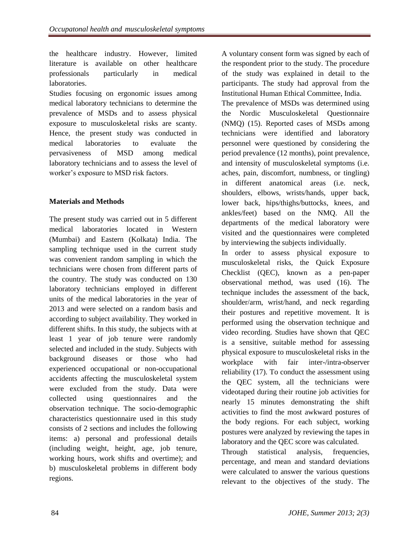the healthcare industry. However, limited literature is available on other healthcare professionals particularly in medical laboratories.

Studies focusing on ergonomic issues among medical laboratory technicians to determine the prevalence of MSDs and to assess physical exposure to musculoskeletal risks are scanty. Hence, the present study was conducted in medical laboratories to evaluate the pervasiveness of MSD among medical laboratory technicians and to assess the level of worker's exposure to MSD risk factors.

# **Materials and Methods**

The present study was carried out in 5 different medical laboratories located in Western (Mumbai) and Eastern (Kolkata) India. The sampling technique used in the current study was convenient random sampling in which the technicians were chosen from different parts of the country. The study was conducted on 130 laboratory technicians employed in different units of the medical laboratories in the year of 2013 and were selected on a random basis and according to subject availability. They worked in different shifts. In this study, the subjects with at least 1 year of job tenure were randomly selected and included in the study. Subjects with background diseases or those who had experienced occupational or non-occupational accidents affecting the musculoskeletal system were excluded from the study. Data were collected using questionnaires and the observation technique. The socio-demographic characteristics questionnaire used in this study consists of 2 sections and includes the following items: a) personal and professional details (including weight, height, age, job tenure, working hours, work shifts and overtime); and b) musculoskeletal problems in different body regions.

A voluntary consent form was signed by each of the respondent prior to the study. The procedure of the study was explained in detail to the participants. The study had approval from the Institutional Human Ethical Committee, India.

The prevalence of MSDs was determined using the Nordic Musculoskeletal Questionnaire (NMQ) (15). Reported cases of MSDs among technicians were identified and laboratory personnel were questioned by considering the period prevalence (12 months), point prevalence, and intensity of musculoskeletal symptoms (i.e. aches, pain, discomfort, numbness, or tingling) in different anatomical areas (i.e. neck, shoulders, elbows, wrists/hands, upper back, lower back, hips/thighs/buttocks, knees, and ankles/feet) based on the NMQ. All the departments of the medical laboratory were visited and the questionnaires were completed by interviewing the subjects individually.

In order to assess physical exposure to musculoskeletal risks, the Quick Exposure Checklist (QEC), known as a pen-paper observational method, was used (16). The technique includes the assessment of the back, shoulder/arm, wrist/hand, and neck regarding their postures and repetitive movement. It is performed using the observation technique and video recording. Studies have shown that QEC is a sensitive, suitable method for assessing physical exposure to musculoskeletal risks in the workplace with fair inter-/intra-observer reliability (17). To conduct the assessment using the QEC system, all the technicians were videotaped during their routine job activities for nearly 15 minutes demonstrating the shift activities to find the most awkward postures of the body regions. For each subject, working postures were analyzed by reviewing the tapes in laboratory and the QEC score was calculated.

Through statistical analysis, frequencies, percentage, and mean and standard deviations were calculated to answer the various questions relevant to the objectives of the study. The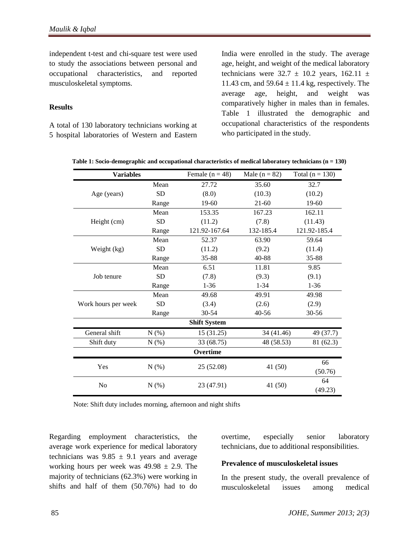independent t-test and chi-square test were used to study the associations between personal and occupational characteristics, and reported musculoskeletal symptoms.

#### **Results**

A total of 130 laboratory technicians working at 5 hospital laboratories of Western and Eastern

India were enrolled in the study. The average age, height, and weight of the medical laboratory technicians were  $32.7 \pm 10.2$  years,  $162.11 \pm 10.2$ 11.43 cm, and  $59.64 \pm 11.4$  kg, respectively. The average age, height, and weight was comparatively higher in males than in females. Table 1 illustrated the demographic and occupational characteristics of the respondents who participated in the study.

|                                                                                                            |           | Female $(n = 48)$   | Male $(n = 82)$         | Total ( $n = 130$ ) |
|------------------------------------------------------------------------------------------------------------|-----------|---------------------|-------------------------|---------------------|
|                                                                                                            | Mean      | 27.72               | 35.60                   | 32.7                |
| Age (years)                                                                                                | <b>SD</b> | (8.0)               | (10.3)                  | (10.2)              |
|                                                                                                            | Range     | 19-60               | $21-60$                 | $19-60$             |
|                                                                                                            | Mean      | 153.35              | 167.23                  | 162.11              |
| Height (cm)                                                                                                | <b>SD</b> | (11.2)              | (7.8)                   | (11.43)             |
| <b>Variables</b><br>Weight (kg)<br>Job tenure<br>Work hours per week<br>General shift<br>Shift duty<br>Yes | Range     | 121.92-167.64       | 132-185.4               | 121.92-185.4        |
|                                                                                                            | Mean      | 52.37               | 63.90                   | 59.64               |
|                                                                                                            | <b>SD</b> | (11.2)              | (9.2)                   | (11.4)              |
|                                                                                                            | Range     | 35-88               | 40-88                   | 35-88               |
|                                                                                                            | Mean      | 6.51                | 11.81                   | 9.85                |
|                                                                                                            | <b>SD</b> | (7.8)               | (9.3)                   | (9.1)               |
|                                                                                                            | Range     | $1 - 36$            | $1 - 34$                | $1 - 36$            |
|                                                                                                            | Mean      | 49.68               | 49.91                   | 49.98               |
|                                                                                                            | <b>SD</b> | (3.4)               | (2.6)                   | (2.9)               |
|                                                                                                            | Range     | 30-54               | 40-56                   | $30 - 56$           |
|                                                                                                            |           | <b>Shift System</b> |                         |                     |
|                                                                                                            | N(% )     | 15(31.25)           | 34 (41.46)<br>49 (37.7) |                     |
|                                                                                                            | N(% )     | 33 (68.75)          | 48 (58.53)<br>81 (62.3) |                     |
|                                                                                                            |           | Overtime            |                         |                     |
|                                                                                                            | N(% )     | 25 (52.08)          | 41 (50)                 | 66                  |
|                                                                                                            |           |                     |                         | (50.76)             |
| No                                                                                                         | $N(\%)$   | 23 (47.91)          | 41 (50)                 | 64                  |
|                                                                                                            |           |                     |                         | (49.23)             |

| Table 1: Socio-demographic and occupational characteristics of medical laboratory technicians $(n = 130)$ |  |  |
|-----------------------------------------------------------------------------------------------------------|--|--|
|-----------------------------------------------------------------------------------------------------------|--|--|

Note: Shift duty includes morning, afternoon and night shifts

Regarding employment characteristics, the average work experience for medical laboratory technicians was  $9.85 \pm 9.1$  years and average working hours per week was  $49.98 \pm 2.9$ . The majority of technicians (62.3%) were working in shifts and half of them (50.76%) had to do

overtime, especially senior laboratory technicians, due to additional responsibilities.

#### **Prevalence of musculoskeletal issues**

In the present study, the overall prevalence of musculoskeletal issues among medical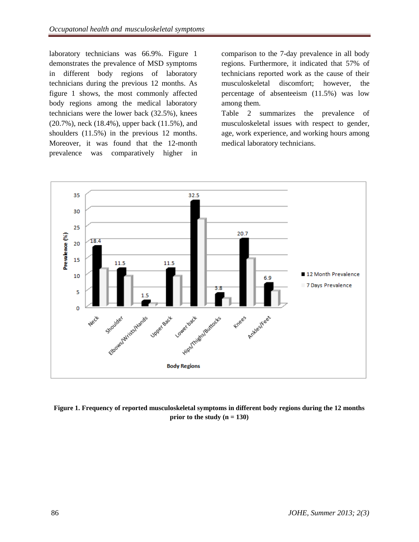laboratory technicians was 66.9%. Figure 1 demonstrates the prevalence of MSD symptoms in different body regions of laboratory technicians during the previous 12 months. As figure 1 shows, the most commonly affected body regions among the medical laboratory technicians were the lower back (32.5%), knees (20.7%), neck (18.4%), upper back (11.5%), and shoulders (11.5%) in the previous 12 months. Moreover, it was found that the 12-month prevalence was comparatively higher in

comparison to the 7-day prevalence in all body regions. Furthermore, it indicated that 57% of technicians reported work as the cause of their musculoskeletal discomfort; however, the percentage of absenteeism (11.5%) was low among them.

Table 2 summarizes the prevalence of musculoskeletal issues with respect to gender, age, work experience, and working hours among medical laboratory technicians.



**Figure 1. Frequency of reported musculoskeletal symptoms in different body regions during the 12 months prior to the study (n = 130)**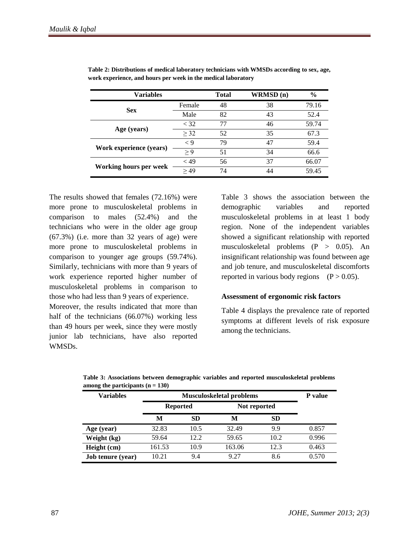| Variables               |                                                                                   | Total | WRMSD(n) | $\frac{6}{9}$ |
|-------------------------|-----------------------------------------------------------------------------------|-------|----------|---------------|
| <b>Sex</b>              | Female                                                                            | 48    | 38       | 79.16         |
|                         | 82<br>Male<br>77<br>< 32<br>> 32<br>52<br>79<br>$\lt 9$<br>> 9<br>51<br>56<br>~19 | 43    | 52.4     |               |
|                         |                                                                                   |       | 46       | 59.74         |
| Age (years)             |                                                                                   |       | 35       | 67.3          |
|                         |                                                                                   |       | 47       | 59.4          |
| Work experience (years) |                                                                                   |       | 34       | 66.6          |
| Working hours per week  |                                                                                   |       | 37       | 66.07         |
|                         | >49                                                                               | 74    | 44       | 59.45         |

**Table 2: Distributions of medical laboratory technicians with WMSDs according to sex, age, work experience, and hours per week in the medical laboratory**

The results showed that females (72.16%) were more prone to musculoskeletal problems in comparison to males (52.4%) and the technicians who were in the older age group (67.3%) (i.e. more than 32 years of age) were more prone to musculoskeletal problems in comparison to younger age groups (59.74%). Similarly, technicians with more than 9 years of work experience reported higher number of musculoskeletal problems in comparison to those who had less than 9 years of experience.

Moreover, the results indicated that more than half of the technicians (66.07%) working less than 49 hours per week, since they were mostly junior lab technicians, have also reported WMSDs.

Table 3 shows the association between the demographic variables and reported musculoskeletal problems in at least 1 body region. None of the independent variables showed a significant relationship with reported musculoskeletal problems (P > 0.05). An insignificant relationship was found between age and job tenure, and musculoskeletal discomforts reported in various body regions  $(P > 0.05)$ .

#### **Assessment of ergonomic risk factors**

Table 4 displays the prevalence rate of reported symptoms at different levels of risk exposure among the technicians.

| <b>Variables</b>         | <b>Musculoskeletal problems</b> |       |              |           | P value |
|--------------------------|---------------------------------|-------|--------------|-----------|---------|
|                          | <b>Reported</b>                 |       | Not reported |           |         |
|                          | М                               | SD    | M            | <b>SD</b> |         |
| Age (year)               | 32.83                           | 10.5  | 32.49        | 9.9       | 0.857   |
| Weight (kg)              | 59.64                           | 12.2. | 59.65        | 10.2      | 0.996   |
| Height (cm)              | 161.53                          | 10.9  | 163.06       | 12.3      | 0.463   |
| <b>Job tenure</b> (year) | 10.21                           | 9.4   | 9.27         | 8.6       | 0.570   |

**Table 3: Associations between demographic variables and reported musculoskeletal problems among the participants (n = 130)**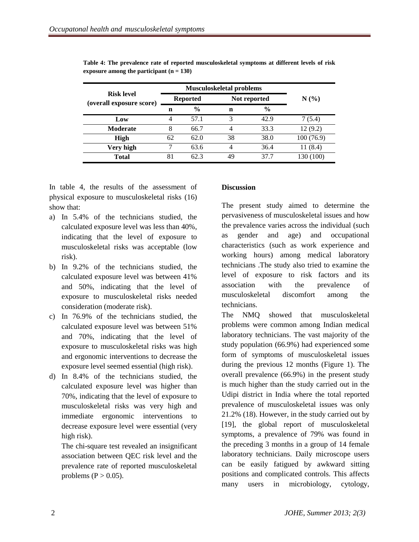| <b>Risk level</b><br>(overall exposure score) |                 | <b>Musculoskeletal problems</b> | N(% |               |           |
|-----------------------------------------------|-----------------|---------------------------------|-----|---------------|-----------|
|                                               | <b>Reported</b> |                                 |     | Not reported  |           |
|                                               | n               | $\frac{6}{6}$                   | n   | $\frac{6}{9}$ |           |
| Low                                           | 4               | 57.1                            | 3   | 42.9          | 7(5.4)    |
| <b>Moderate</b>                               | 8               | 66.7                            | 4   | 33.3          | 12(9.2)   |
| <b>High</b>                                   | 62              | 62.0                            | 38  | 38.0          | 100(76.9) |
| Very high                                     | 7               | 63.6                            | 4   | 36.4          | 11(8.4)   |
| <b>Total</b>                                  | 81              | 62.3                            | 49  | 37 7          | 130 (100) |

**Table 4: The prevalence rate of reported musculoskeletal symptoms at different levels of risk exposure among the participant (n = 130)**

In table 4, the results of the assessment of physical exposure to musculoskeletal risks (16) show that:

- a) In 5.4% of the technicians studied, the calculated exposure level was less than 40%, indicating that the level of exposure to musculoskeletal risks was acceptable (low risk).
- b) In 9.2% of the technicians studied, the calculated exposure level was between 41% and 50%, indicating that the level of exposure to musculoskeletal risks needed consideration (moderate risk).
- c) In 76.9% of the technicians studied, the calculated exposure level was between 51% and 70%, indicating that the level of exposure to musculoskeletal risks was high and ergonomic interventions to decrease the exposure level seemed essential (high risk).
- d) In 8.4% of the technicians studied, the calculated exposure level was higher than 70%, indicating that the level of exposure to musculoskeletal risks was very high and immediate ergonomic interventions to decrease exposure level were essential (very high risk).

The chi-square test revealed an insignificant association between QEC risk level and the prevalence rate of reported musculoskeletal problems ( $P > 0.05$ ).

# **Discussion**

The present study aimed to determine the pervasiveness of musculoskeletal issues and how the prevalence varies across the individual (such as gender and age) and occupational characteristics (such as work experience and working hours) among medical laboratory technicians .The study also tried to examine the level of exposure to risk factors and its association with the prevalence of musculoskeletal discomfort among the technicians.

The NMQ showed that musculoskeletal problems were common among Indian medical laboratory technicians. The vast majority of the study population (66.9%) had experienced some form of symptoms of musculoskeletal issues during the previous 12 months (Figure 1). The overall prevalence (66.9%) in the present study is much higher than the study carried out in the Udipi district in India where the total reported prevalence of musculoskeletal issues was only 21.2% (18). However, in the study carried out by [19], the global report of musculoskeletal symptoms, a prevalence of 79% was found in the preceding 3 months in a group of 14 female laboratory technicians. Daily microscope users can be easily fatigued by awkward sitting positions and complicated controls. This affects many users in microbiology, cytology,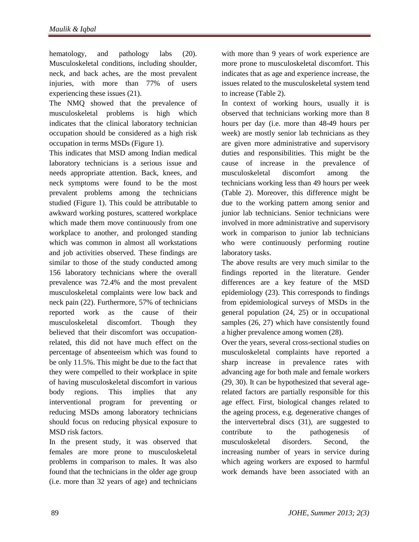hematology, and pathology labs (20). Musculoskeletal conditions, including shoulder, neck, and back aches, are the most prevalent injuries, with more than 77% of users experiencing these issues (21).

The NMQ showed that the prevalence of musculoskeletal problems is high which indicates that the clinical laboratory technician occupation should be considered as a high risk occupation in terms MSDs (Figure 1).

This indicates that MSD among Indian medical laboratory technicians is a serious issue and needs appropriate attention. Back, knees, and neck symptoms were found to be the most prevalent problems among the technicians studied (Figure 1). This could be attributable to awkward working postures, scattered workplace which made them move continuously from one workplace to another, and prolonged standing which was common in almost all workstations and job activities observed. These findings are similar to those of the study conducted among 156 laboratory technicians where the overall prevalence was 72.4% and the most prevalent musculoskeletal complaints were low back and neck pain (22). Furthermore, 57% of technicians reported work as the cause of their musculoskeletal discomfort. Though they believed that their discomfort was occupationrelated, this did not have much effect on the percentage of absenteeism which was found to be only 11.5%. This might be due to the fact that they were compelled to their workplace in spite of having musculoskeletal discomfort in various body regions. This implies that any interventional program for preventing or reducing MSDs among laboratory technicians should focus on reducing physical exposure to MSD risk factors.

In the present study, it was observed that females are more prone to musculoskeletal problems in comparison to males. It was also found that the technicians in the older age group (i.e. more than 32 years of age) and technicians

with more than 9 years of work experience are more prone to musculoskeletal discomfort. This indicates that as age and experience increase, the issues related to the musculoskeletal system tend to increase (Table 2).

In context of working hours, usually it is observed that technicians working more than 8 hours per day (i.e. more than 48-49 hours per week) are mostly senior lab technicians as they are given more administrative and supervisory duties and responsibilities. This might be the cause of increase in the prevalence of musculoskeletal discomfort among the technicians working less than 49 hours per week (Table 2). Moreover, this difference might be due to the working pattern among senior and junior lab technicians. Senior technicians were involved in more administrative and supervisory work in comparison to junior lab technicians who were continuously performing routine laboratory tasks.

The above results are very much similar to the findings reported in the literature. Gender differences are a key feature of the MSD epidemiology (23). This corresponds to findings from epidemiological surveys of MSDs in the general population (24, 25) or in occupational samples (26, 27) which have consistently found a higher prevalence among women (28).

Over the years, several cross-sectional studies on musculoskeletal complaints have reported a sharp increase in prevalence rates with advancing age for both male and female workers (29, 30). It can be hypothesized that several agerelated factors are partially responsible for this age effect. First, biological changes related to the ageing process, e.g. degenerative changes of the intervertebral discs (31), are suggested to contribute to the pathogenesis of musculoskeletal disorders. Second, the increasing number of years in service during which ageing workers are exposed to harmful work demands have been associated with an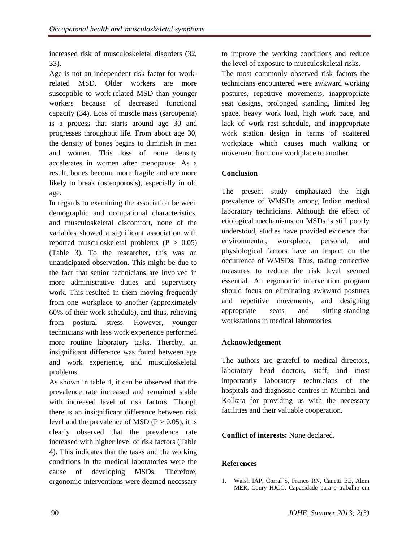increased risk of musculoskeletal disorders (32, 33).

Age is not an independent risk factor for workrelated MSD. Older workers are more susceptible to work-related MSD than younger workers because of decreased functional capacity (34). Loss of muscle mass (sarcopenia) is a process that starts around age 30 and progresses throughout life. From about age 30, the density of bones begins to diminish in men and women. This loss of bone density accelerates in women after menopause. As a result, bones become more fragile and are more likely to break (osteoporosis), especially in old age.

In regards to examining the association between demographic and occupational characteristics, and musculoskeletal discomfort, none of the variables showed a significant association with reported musculoskeletal problems  $(P > 0.05)$ (Table 3). To the researcher, this was an unanticipated observation. This might be due to the fact that senior technicians are involved in more administrative duties and supervisory work. This resulted in them moving frequently from one workplace to another (approximately 60% of their work schedule), and thus, relieving from postural stress. However, younger technicians with less work experience performed more routine laboratory tasks. Thereby, an insignificant difference was found between age and work experience, and musculoskeletal problems.

As shown in table 4, it can be observed that the prevalence rate increased and remained stable with increased level of risk factors. Though there is an insignificant difference between risk level and the prevalence of MSD ( $P > 0.05$ ), it is clearly observed that the prevalence rate increased with higher level of risk factors (Table 4). This indicates that the tasks and the working conditions in the medical laboratories were the cause of developing MSDs. Therefore, ergonomic interventions were deemed necessary to improve the working conditions and reduce the level of exposure to musculoskeletal risks.

The most commonly observed risk factors the technicians encountered were awkward working postures, repetitive movements, inappropriate seat designs, prolonged standing, limited leg space, heavy work load, high work pace, and lack of work rest schedule, and inappropriate work station design in terms of scattered workplace which causes much walking or movement from one workplace to another.

# **Conclusion**

The present study emphasized the high prevalence of WMSDs among Indian medical laboratory technicians. Although the effect of etiological mechanisms on MSDs is still poorly understood, studies have provided evidence that environmental, workplace, personal, and physiological factors have an impact on the occurrence of WMSDs. Thus, taking corrective measures to reduce the risk level seemed essential. An ergonomic intervention program should focus on eliminating awkward postures and repetitive movements, and designing appropriate seats and sitting-standing workstations in medical laboratories.

# **Acknowledgement**

The authors are grateful to medical directors, laboratory head doctors, staff, and most importantly laboratory technicians of the hospitals and diagnostic centres in Mumbai and Kolkata for providing us with the necessary facilities and their valuable cooperation.

# **Conflict of interests:** None declared.

# **References**

1. Walsh IAP, Corral S, Franco RN, Canetti EE, Alem MER, Coury HJCG. Capacidade para o trabalho em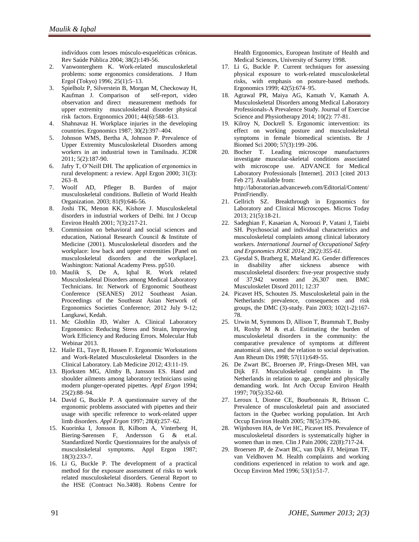indivíduos com lesoes músculo-esqueléticas crônicas. Rev Saúde Pública 2004; 38(2):149-56.

- 2. Vanwonterghem K. Work-related musculoskeletal problems: some ergonomics considerations. J Hum Ergol (Tokyo) 1996; 25(1):5–13.
- 3. Spielholz P, Silverstein B, Morgan M, Checkoway H, Kaufman J. Comparison of self-report, video observation and direct measurement methods for upper extremity musculoskeletal disorder physical risk factors. Ergonomics 2001; 44(6):588–613.
- 4. Shahnavaz H. Workplace injuries in the developing countries. Ergonomics 1987; 30(2):397–404.
- 5. Johnson WMS, Bertha A, Johnson P. Prevalence of Upper Extremity Musculoskeletal Disorders among workers in an industrial town in Tamilnadu. JCDR 2011; 5(2):187-90.
- 6. Jafry T, O'Neill DH. The application of ergonomics in rural development: a review. Appl Ergon 2000; 31(3): 263–8.
- 7. Woolf AD, Pfleger B. Burden of major musculoskeletal conditions. Bulletin of World Health Organization. 2003; 81(9):646-56.
- 8. Joshi TK, Menon KK, Kishore J. Musculoskeletal disorders in industrial workers of Delhi. Int J Occup Environ Health 2001; 7(3):217-21.
- 9. Commission on behavioral and social sciences and education, National Research Council & Institute of Medicine (2001). Musculoskeletal disorders and the workplace: low back and upper extremities [Panel on musculoskeletal disorders and the workplace]. Washington: National Academy Press. pp510.
- 10. Maulik S, De A, Iqbal R. Work related Musculoskeletal Disorders among Medical Laboratory Technicians. In: Network of Ergonomic Southeast Conference (SEANES) 2012 Southeast Asian. Proceedings of the Southeast Asian Network of Ergonomics Societies Conference; 2012 July 9-12; Langkawi, Kedah.
- 11. Mc Glothlin JD, Walter A. Clinical Laboratory Ergonomics: Reducing Stress and Strain, Improving Work Efficiency and Reducing Errors. Molecular Hub Webinar 2013.
- 12. Haile EL, Taye B, Hussen F. Ergonomic Workstations and Work-Related Musculoskeletal Disorders in the Clinical Laboratory. Lab Medicine 2012; 43:11-19.
- 13. Bjorksten MG, Almby B, Jansson ES. Hand and shoulder ailments among laboratory technicians using modern plunger-operated pipettes. *Appl Ergon* 1994; 25(2):88–94.
- 14. David G, Buckle P. A questionnaire survey of the ergonomic problems associated with pipettes and their usage with specific reference to work-related upper limb disorders. *Appl Ergon* 1997; 28(4):257–62.
- 15. Kuorinka I, Jonsson B, Kilbom A, [Vinterberg H,](http://www.ncbi.nlm.nih.gov/pubmed/?term=Vinterberg%20H%5BAuthor%5D&cauthor=true&cauthor_uid=15676628) [Biering-Sørensen F,](http://www.ncbi.nlm.nih.gov/pubmed/?term=Biering-S%C3%B8rensen%20F%5BAuthor%5D&cauthor=true&cauthor_uid=15676628) [Andersson G](http://www.ncbi.nlm.nih.gov/pubmed/?term=Andersson%20G%5BAuthor%5D&cauthor=true&cauthor_uid=15676628) & et.al. Standardized Nordic Questionnaires for the analysis of musculoskeletal symptoms. Appl Ergon 1987; 18(3):233-7.
- 16. Li G, Buckle P. The development of a practical method for the exposure assessment of risks to work related musculoskeletal disorders. General Report to the HSE (Contract No.3408). Robens Centre for

Health Ergonomics, European Institute of Health and Medical Sciences, University of Surrey 1998.

- 17. Li G, Buckle P. Current techniques for assessing physical exposure to work-related musculoskeletal risks, with emphasis on posture-based methods. Ergonomics 1999; 42(5):674–95.
- 18. Agrawal PR, Maiya AG, Kamath V, Kamath A. Musculoskeletal Disorders among Medical Laboratory Professionals-A Prevalence Study. Journal of Exercise Science and Physiotherapy 2014; 10(2): 77-81.
- 19. Kilroy N, Dockrell S. Ergonomic intervention: its effect on working posture and musculoskeletal symptoms in female biomedical scientists. Br J Biomed Sci 2000; 57(3):199*–*206.
- 20. Bocher T. Leading microscope manufacturers investigate muscular-skeletal conditions associated with microscope use. ADVANCE for Medical Laboratory Professionals [Internet]. 2013 [cited 2013 Feb 27]. Available from: [http://laboratorian.advanceweb.com/Editorial/Content/](http://laboratorian.advanceweb.com/Editorial/Content/PrintFriendly) [PrintFriendly.](http://laboratorian.advanceweb.com/Editorial/Content/PrintFriendly)
- 21. Gellrich SZ. Breakthrough in Ergonomics for Laboratory and Clinical Microscopes. Micros Today 2013; 21(5):18-21.
- 22. Sadeghian F, Kasaeian A, Noroozi P, Vatani J, Taiebi SH. Psychosocial and individual characteristics and musculoskeletal complaints among clinical laboratory workers. *International Journal of Occupational Safety and Ergonomics JOSE 2014; 20(2):355-61.*
- 23. Gjesdal S, Bratberg E, Mæland JG. Gender differences in disability after sickness absence with musculoskeletal disorders: five-year prospective study of 37,942 women and 26,307 men. BMC Musculoskelet Disord 2011; 12:37
- 24. Picavet HS, Schouten JS. Musculoskeletal pain in the Netherlands: prevalence, consequences and risk groups, the DMC (3)-study. Pain 2003; 102(1-2):167- 78.
- 25. Urwin M, Symmons D, Allison T, Brammah T, Busby H, Roxby M & et.al. Estimating the burden of musculoskeletal disorders in the community: the comparative prevalence of symptoms at different anatomical sites, and the relation to social deprivation. Ann Rheum Dis 1998; 57(11):649-55.
- 26. De Zwart BC, Broersen JP, Frings-Dresen MH, van Dijk FJ. Musculoskeletal complaints in The Netherlands in relation to age, gender and physically demanding work. Int Arch Occup Environ Health 1997; 70(5):352-60.
- 27. Leroux I, Dionne CE, Bourbonnais R, Brisson C. Prevalence of musculoskeletal pain and associated factors in the Quebec working population. Int Arch Occup Environ Health 2005; 78(5):379-86.
- 28. Wijnhoven HA, de Vet HC, Picavet HS. Prevalence of musculoskeletal disorders is systematically higher in women than in men. Clin J Pain 2006; 22(8):717-24.
- 29. Broersen JP, de Zwart BC, van Dijk FJ, Meijman TF, van Veldhoven M. Health complaints and working conditions experienced in relation to work and age. Occup Environ Med 1996; 53(1):51-7.